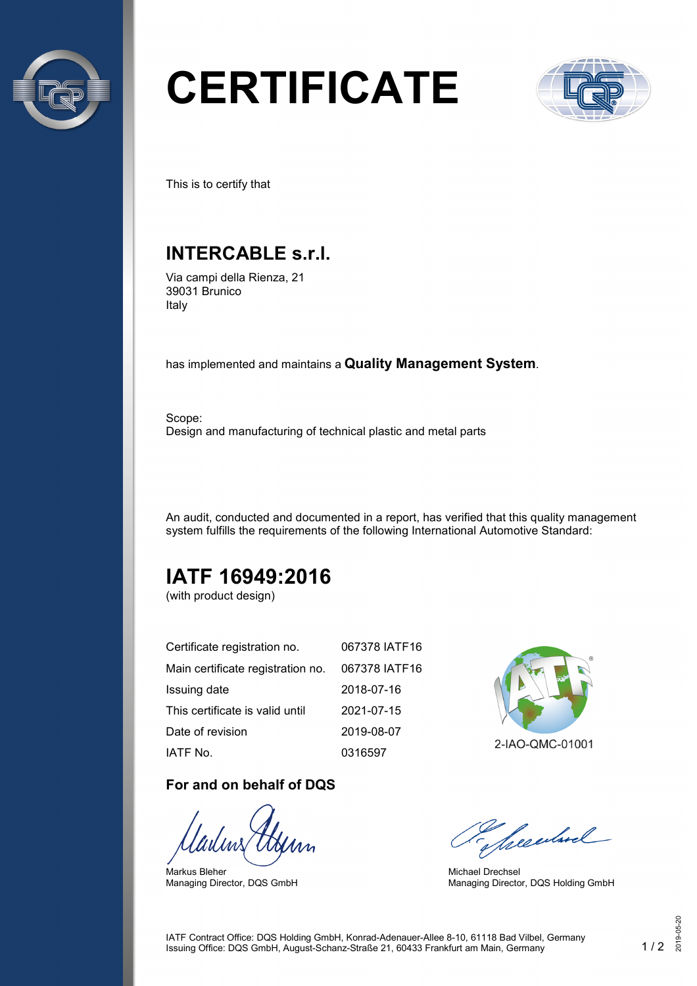

# **CERTIFICATE**



This is to certify that

## **INTERCABLE s.r.l.**

Via campi della Rienza, 21 39031 Brunico Italy

has implemented and maintains a **Quality Management System**.

Scope: Design and manufacturing of technical plastic and metal parts

An audit, conducted and documented in a report, has verified that this quality management system fulfills the requirements of the following International Automotive Standard:

## **IATF 16949:2016**

(with product design)

| Certificate registration no.      | 067378 IATF16 |
|-----------------------------------|---------------|
| Main certificate registration no. | 067378 IATF16 |
| Issuing date                      | 2018-07-16    |
| This certificate is valid until   | 2021-07-15    |
| Date of revision                  | 2019-08-07    |
| IATF No.                          | 0316597       |

#### **For and on behalf of DQS**

Markus Bleher Managing Director, DQS GmbH



2-IAO-QMC-01001

Seculard

Michael Drechsel Managing Director, DQS Holding GmbH

IATF Contract Office: DQS Holding GmbH, Konrad-Adenauer-Allee 8-10, 61118 Bad Vilbel, Germany Issuing Office: DQS GmbH, August-Schanz-Straße 21, 60433 Frankfurt am Main, Germany 1 / 2